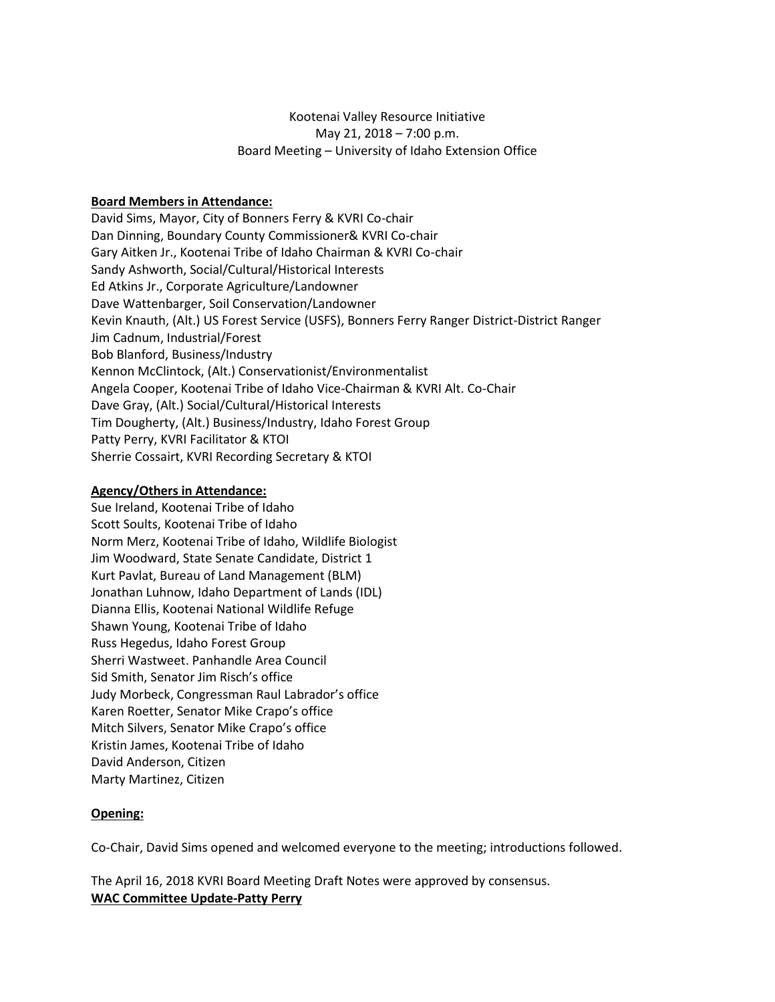# Kootenai Valley Resource Initiative May 21, 2018 – 7:00 p.m. Board Meeting – University of Idaho Extension Office

### **Board Members in Attendance:**

David Sims, Mayor, City of Bonners Ferry & KVRI Co-chair Dan Dinning, Boundary County Commissioner& KVRI Co-chair Gary Aitken Jr., Kootenai Tribe of Idaho Chairman & KVRI Co-chair Sandy Ashworth, Social/Cultural/Historical Interests Ed Atkins Jr., Corporate Agriculture/Landowner Dave Wattenbarger, Soil Conservation/Landowner Kevin Knauth, (Alt.) US Forest Service (USFS), Bonners Ferry Ranger District-District Ranger Jim Cadnum, Industrial/Forest Bob Blanford, Business/Industry Kennon McClintock, (Alt.) Conservationist/Environmentalist Angela Cooper, Kootenai Tribe of Idaho Vice-Chairman & KVRI Alt. Co-Chair Dave Gray, (Alt.) Social/Cultural/Historical Interests Tim Dougherty, (Alt.) Business/Industry, Idaho Forest Group Patty Perry, KVRI Facilitator & KTOI Sherrie Cossairt, KVRI Recording Secretary & KTOI

#### **Agency/Others in Attendance:**

Sue Ireland, Kootenai Tribe of Idaho Scott Soults, Kootenai Tribe of Idaho Norm Merz, Kootenai Tribe of Idaho, Wildlife Biologist Jim Woodward, State Senate Candidate, District 1 Kurt Pavlat, Bureau of Land Management (BLM) Jonathan Luhnow, Idaho Department of Lands (IDL) Dianna Ellis, Kootenai National Wildlife Refuge Shawn Young, Kootenai Tribe of Idaho Russ Hegedus, Idaho Forest Group Sherri Wastweet. Panhandle Area Council Sid Smith, Senator Jim Risch's office Judy Morbeck, Congressman Raul Labrador's office Karen Roetter, Senator Mike Crapo's office Mitch Silvers, Senator Mike Crapo's office Kristin James, Kootenai Tribe of Idaho David Anderson, Citizen Marty Martinez, Citizen

#### **Opening:**

Co-Chair, David Sims opened and welcomed everyone to the meeting; introductions followed.

The April 16, 2018 KVRI Board Meeting Draft Notes were approved by consensus. **WAC Committee Update-Patty Perry**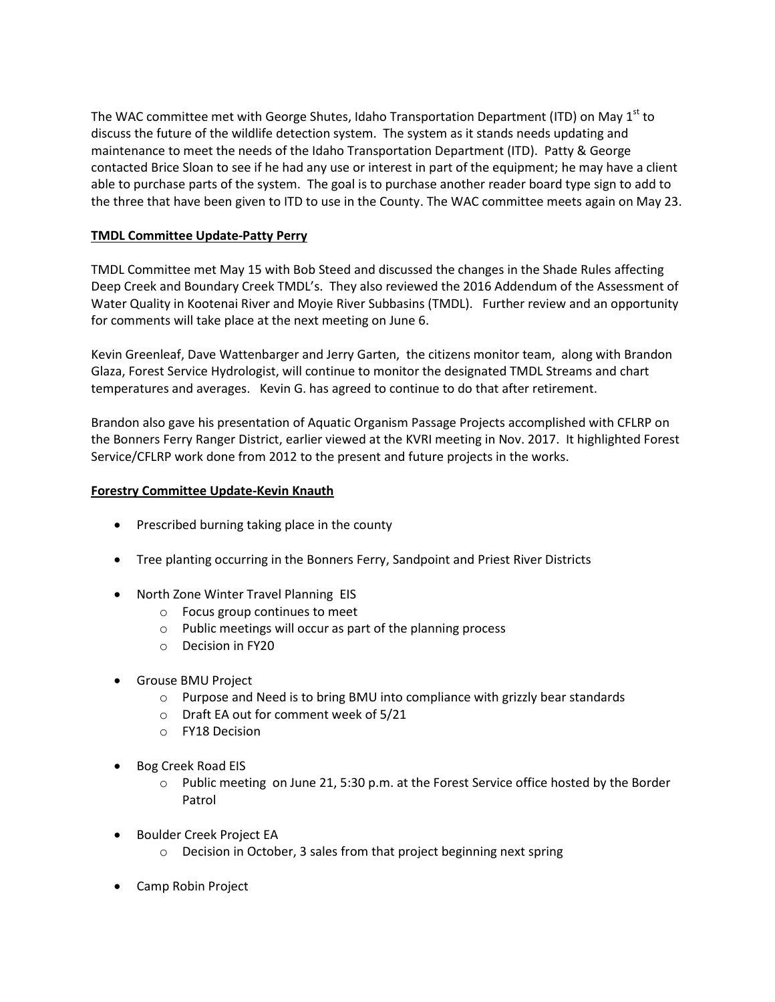The WAC committee met with George Shutes, Idaho Transportation Department (ITD) on May 1<sup>st</sup> to discuss the future of the wildlife detection system. The system as it stands needs updating and maintenance to meet the needs of the Idaho Transportation Department (ITD). Patty & George contacted Brice Sloan to see if he had any use or interest in part of the equipment; he may have a client able to purchase parts of the system. The goal is to purchase another reader board type sign to add to the three that have been given to ITD to use in the County. The WAC committee meets again on May 23.

# **TMDL Committee Update-Patty Perry**

TMDL Committee met May 15 with Bob Steed and discussed the changes in the Shade Rules affecting Deep Creek and Boundary Creek TMDL's. They also reviewed the 2016 Addendum of the Assessment of Water Quality in Kootenai River and Moyie River Subbasins (TMDL). Further review and an opportunity for comments will take place at the next meeting on June 6.

Kevin Greenleaf, Dave Wattenbarger and Jerry Garten, the citizens monitor team, along with Brandon Glaza, Forest Service Hydrologist, will continue to monitor the designated TMDL Streams and chart temperatures and averages. Kevin G. has agreed to continue to do that after retirement.

Brandon also gave his presentation of Aquatic Organism Passage Projects accomplished with CFLRP on the Bonners Ferry Ranger District, earlier viewed at the KVRI meeting in Nov. 2017. It highlighted Forest Service/CFLRP work done from 2012 to the present and future projects in the works.

## **Forestry Committee Update-Kevin Knauth**

- Prescribed burning taking place in the county
- Tree planting occurring in the Bonners Ferry, Sandpoint and Priest River Districts
- North Zone Winter Travel Planning EIS
	- o Focus group continues to meet
	- o Public meetings will occur as part of the planning process
	- o Decision in FY20
- Grouse BMU Project
	- o Purpose and Need is to bring BMU into compliance with grizzly bear standards
	- o Draft EA out for comment week of 5/21
	- o FY18 Decision
- Bog Creek Road EIS
	- o Public meeting on June 21, 5:30 p.m. at the Forest Service office hosted by the Border Patrol
- Boulder Creek Project EA
	- o Decision in October, 3 sales from that project beginning next spring
- Camp Robin Project